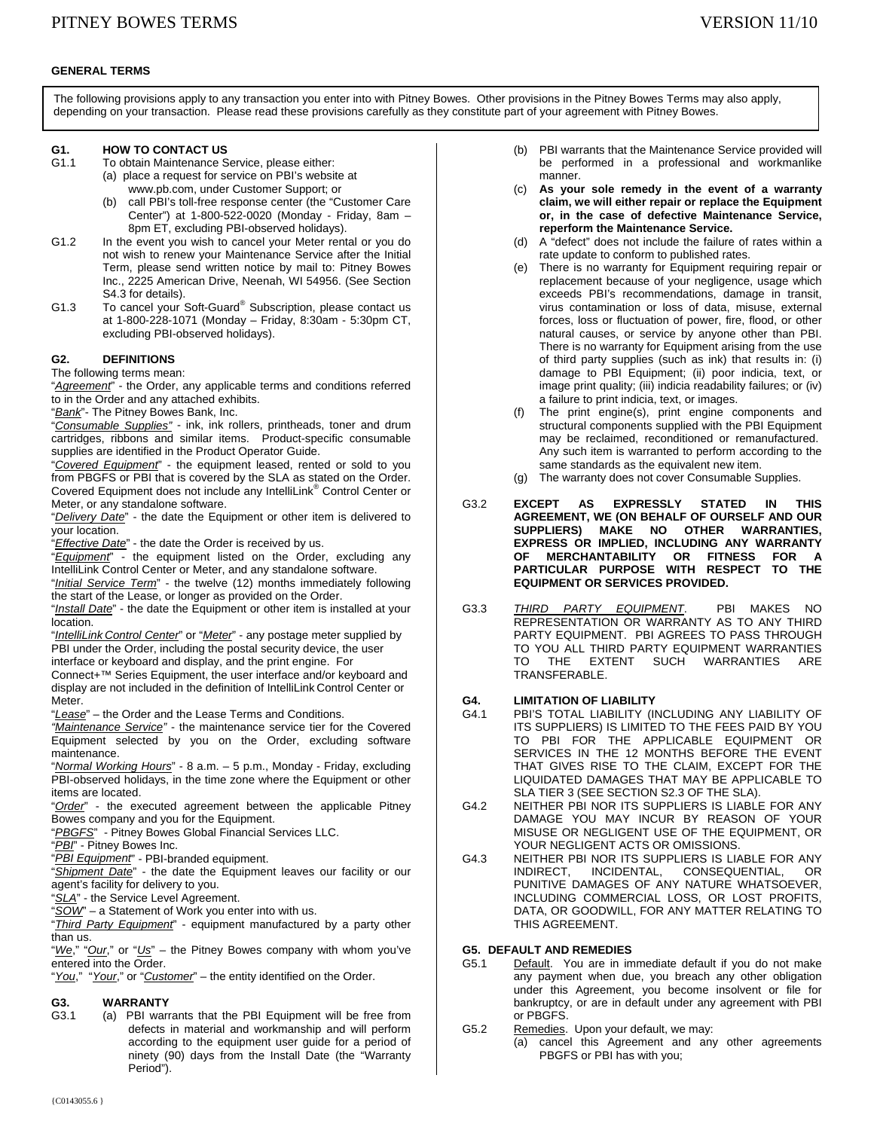### **GENERAL TERMS**

The following provisions apply to any transaction you enter into with Pitney Bowes. Other provisions in the Pitney Bowes Terms may also apply, depending on your transaction. Please read these provisions carefully as they constitute part of your agreement with Pitney Bowes.

# **G1. HOW TO CONTACT US**<br>**G1.1** To obtain Maintenance S

- To obtain Maintenance Service, please either: (a) place a request for service on PBI's website at www.pb.com, under Customer Support; or
	- (b) call PBI's toll-free response center (the "Customer Care Center") at 1-800-522-0020 (Monday - Friday, 8am – 8pm ET, excluding PBI-observed holidays).
- G1.2 In the event you wish to cancel your Meter rental or you do not wish to renew your Maintenance Service after the Initial Term, please send written notice by mail to: Pitney Bowes Inc., 2225 American Drive, Neenah, WI 54956. (See Section S4.3 for details).
- G1.3 To cancel your Soft-Guard<sup>®</sup> Subscription, please contact us at 1-800-228-1071 (Monday – Friday, 8:30am - 5:30pm CT, excluding PBI-observed holidays).

### **G2. DEFINITIONS**

The following terms mean:

"*Agreement*" - the Order, any applicable terms and conditions referred to in the Order and any attached exhibits.

"*Bank*"- The Pitney Bowes Bank, Inc.

"*Consumable Supplies"* - ink, ink rollers, printheads, toner and drum cartridges, ribbons and similar items. Product-specific consumable supplies are identified in the Product Operator Guide.

"*Covered Equipment*" - the equipment leased, rented or sold to you from PBGFS or PBI that is covered by the SLA as stated on the Order. Covered Equipment does not include any IntelliLink® Control Center or Meter, or any standalone software.

"*Delivery Date*" - the date the Equipment or other item is delivered to your location.

"*Effective Date*" - the date the Order is received by us.

"*Equipment*" - the equipment listed on the Order, excluding any IntelliLink Control Center or Meter, and any standalone software.

"*Initial Service Term*" - the twelve (12) months immediately following the start of the Lease, or longer as provided on the Order.

"*Install Date*" - the date the Equipment or other item is installed at your location.

"*IntelliLink Control Center*" or "*Meter*" - any postage meter supplied by PBI under the Order, including the postal security device, the user interface or keyboard and display, and the print engine. For

Connect+™ Series Equipment, the user interface and/or keyboard and display are not included in the definition of IntelliLink Control Center or Meter.

"*Lease*" – the Order and the Lease Terms and Conditions.

*"Maintenance Service"* - the maintenance service tier for the Covered Equipment selected by you on the Order, excluding software maintenance.

"*Normal Working Hours*" - 8 a.m. – 5 p.m., Monday - Friday, excluding PBI-observed holidays, in the time zone where the Equipment or other items are located.

"*Order*" - the executed agreement between the applicable Pitney Bowes company and you for the Equipment.

"*PBGFS*" - Pitney Bowes Global Financial Services LLC.

"*PBI*" - Pitney Bowes Inc.

"*PBI Equipment*" - PBI-branded equipment.

"*Shipment Date*" - the date the Equipment leaves our facility or our agent's facility for delivery to you.

"*SLA*" - the Service Level Agreement.

"*SOW*" – a Statement of Work you enter into with us.

"*Third Party Equipment*" - equipment manufactured by a party other than us.

"*We*," "*Our*," or "*Us*" – the Pitney Bowes company with whom you've entered into the Order.

"*You*," "*Your*," or "*Customer*" – the entity identified on the Order.

### **G3. WARRANTY**

G3.1 (a) PBI warrants that the PBI Equipment will be free from defects in material and workmanship and will perform according to the equipment user guide for a period of ninety (90) days from the Install Date (the "Warranty Period").

- (b) PBI warrants that the Maintenance Service provided will be performed in a professional and workmanlike manner.
- (c) **As your sole remedy in the event of a warranty claim, we will either repair or replace the Equipment or, in the case of defective Maintenance Service, reperform the Maintenance Service.**
- (d) A "defect" does not include the failure of rates within a rate update to conform to published rates.
- (e) There is no warranty for Equipment requiring repair or replacement because of your negligence, usage which exceeds PBI's recommendations, damage in transit, virus contamination or loss of data, misuse, external forces, loss or fluctuation of power, fire, flood, or other natural causes, or service by anyone other than PBI. There is no warranty for Equipment arising from the use of third party supplies (such as ink) that results in: (i) damage to PBI Equipment; (ii) poor indicia, text, or image print quality; (iii) indicia readability failures; or (iv) a failure to print indicia, text, or images.
- (f) The print engine(s), print engine components and structural components supplied with the PBI Equipment may be reclaimed, reconditioned or remanufactured. Any such item is warranted to perform according to the same standards as the equivalent new item.
- (g) The warranty does not cover Consumable Supplies.
- G3.2 **EXCEPT AS EXPRESSLY STATED IN THIS AGREEMENT, WE (ON BEHALF OF OURSELF AND OUR SUPPLIERS) MAKE NO OTHER WARRANTIES, EXPRESS OR IMPLIED, INCLUDING ANY WARRANTY OF MERCHANTABILITY OR FITNESS FOR A PARTICULAR PURPOSE WITH RESPECT TO THE EQUIPMENT OR SERVICES PROVIDED.**
- G3.3 *THIRD PARTY EQUIPMENT*. PBI MAKES NO REPRESENTATION OR WARRANTY AS TO ANY THIRD PARTY EQUIPMENT. PBI AGREES TO PASS THROUGH TO YOU ALL THIRD PARTY EQUIPMENT WARRANTIES TO THE EXTENT SUCH WARRANTIES ARE TRANSFERABLE.

# **G4. LIMITATION OF LIABILITY**

- PBI'S TOTAL LIABILITY (INCLUDING ANY LIABILITY OF ITS SUPPLIERS) IS LIMITED TO THE FEES PAID BY YOU TO PBI FOR THE APPLICABLE EQUIPMENT OR SERVICES IN THE 12 MONTHS BEFORE THE EVENT THAT GIVES RISE TO THE CLAIM, EXCEPT FOR THE LIQUIDATED DAMAGES THAT MAY BE APPLICABLE TO SLA TIER 3 (SEE SECTION S2.3 OF THE SLA).
- G4.2 NEITHER PBI NOR ITS SUPPLIERS IS LIABLE FOR ANY DAMAGE YOU MAY INCUR BY REASON OF YOUR MISUSE OR NEGLIGENT USE OF THE EQUIPMENT, OR YOUR NEGLIGENT ACTS OR OMISSIONS.
- G4.3 NEITHER PBI NOR ITS SUPPLIERS IS LIABLE FOR ANY INDIRECT, INCIDENTAL, CONSEQUENTIAL, OR PUNITIVE DAMAGES OF ANY NATURE WHATSOEVER, INCLUDING COMMERCIAL LOSS, OR LOST PROFITS, DATA, OR GOODWILL, FOR ANY MATTER RELATING TO THIS AGREEMENT.

## **G5. DEFAULT AND REMEDIES**

- G5.1 Default. You are in immediate default if you do not make any payment when due, you breach any other obligation under this Agreement, you become insolvent or file for bankruptcy, or are in default under any agreement with PBI or PBGFS.
- G5.2 Remedies. Upon your default, we may:
	- (a) cancel this Agreement and any other agreements PBGFS or PBI has with you;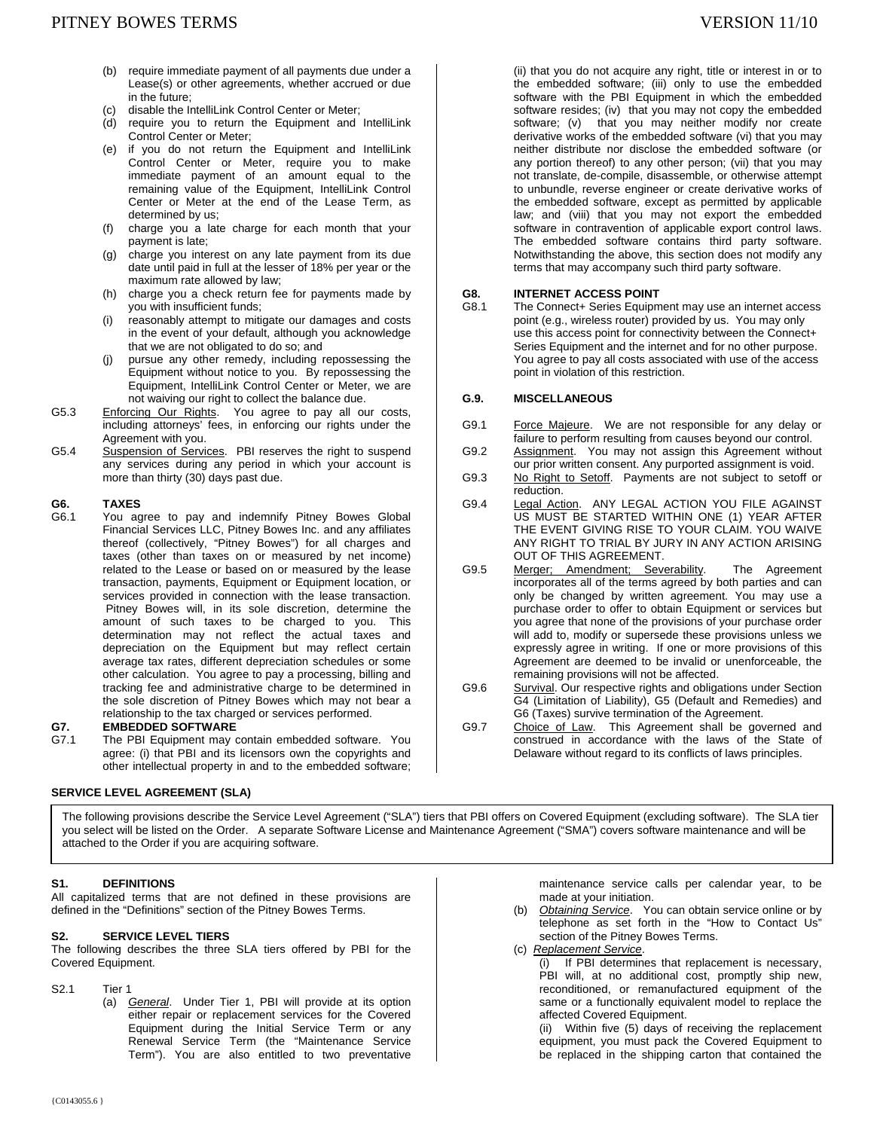- (b) require immediate payment of all payments due under a Lease(s) or other agreements, whether accrued or due in the future;
- (c) disable the IntelliLink Control Center or Meter;
- (d) require you to return the Equipment and IntelliLink Control Center or Meter;
- (e) if you do not return the Equipment and IntelliLink Control Center or Meter, require you to make immediate payment of an amount equal to the remaining value of the Equipment, IntelliLink Control Center or Meter at the end of the Lease Term, as determined by us;
- (f) charge you a late charge for each month that your payment is late;
- (g) charge you interest on any late payment from its due date until paid in full at the lesser of 18% per year or the maximum rate allowed by law;
- (h) charge you a check return fee for payments made by you with insufficient funds;
- (i) reasonably attempt to mitigate our damages and costs in the event of your default, although you acknowledge that we are not obligated to do so; and
- (j) pursue any other remedy, including repossessing the Equipment without notice to you. By repossessing the Equipment, IntelliLink Control Center or Meter, we are not waiving our right to collect the balance due.
- G5.3 Enforcing Our Rights. You agree to pay all our costs, including attorneys' fees, in enforcing our rights under the Agreement with you.
- G5.4 Suspension of Services. PBI reserves the right to suspend any services during any period in which your account is more than thirty (30) days past due.

# G6. **TAXES**<br>G6.1 You ad

You agree to pay and indemnify Pitney Bowes Global Financial Services LLC, Pitney Bowes Inc. and any affiliates thereof (collectively, "Pitney Bowes") for all charges and taxes (other than taxes on or measured by net income) related to the Lease or based on or measured by the lease transaction, payments, Equipment or Equipment location, or services provided in connection with the lease transaction. Pitney Bowes will, in its sole discretion, determine the amount of such taxes to be charged to you. This determination may not reflect the actual taxes and depreciation on the Equipment but may reflect certain average tax rates, different depreciation schedules or some other calculation. You agree to pay a processing, billing and tracking fee and administrative charge to be determined in the sole discretion of Pitney Bowes which may not bear a relationship to the tax charged or services performed.

## **G7. EMBEDDED SOFTWARE**<br>G7.1 The PBI Fquinment may o

The PBI Equipment may contain embedded software. You agree: (i) that PBI and its licensors own the copyrights and other intellectual property in and to the embedded software;

#### **SERVICE LEVEL AGREEMENT (SLA)**

(ii) that you do not acquire any right, title or interest in or to the embedded software; (iii) only to use the embedded software with the PBI Equipment in which the embedded software resides; (iv) that you may not copy the embedded software; (v) that you may neither modify nor create derivative works of the embedded software (vi) that you may neither distribute nor disclose the embedded software (or any portion thereof) to any other person; (vii) that you may not translate, de-compile, disassemble, or otherwise attempt to unbundle, reverse engineer or create derivative works of the embedded software, except as permitted by applicable law; and (viii) that you may not export the embedded software in contravention of applicable export control laws. The embedded software contains third party software. Notwithstanding the above, this section does not modify any terms that may accompany such third party software.

#### **G8. INTERNET ACCESS POINT**

G8.1 The Connect+ Series Equipment may use an internet access point (e.g., wireless router) provided by us. You may only use this access point for connectivity between the Connect+ Series Equipment and the internet and for no other purpose. You agree to pay all costs associated with use of the access point in violation of this restriction.

#### **G.9. MISCELLANEOUS**

- G9.1 Force Majeure. We are not responsible for any delay or failure to perform resulting from causes beyond our control.
- G9.2 Assignment. You may not assign this Agreement without our prior written consent. Any purported assignment is void.
- G9.3 No Right to Setoff. Payments are not subject to setoff or reduction.
- G9.4 Legal Action. ANY LEGAL ACTION YOU FILE AGAINST US MUST BE STARTED WITHIN ONE (1) YEAR AFTER THE EVENT GIVING RISE TO YOUR CLAIM. YOU WAIVE ANY RIGHT TO TRIAL BY JURY IN ANY ACTION ARISING OUT OF THIS AGREEMENT.
- G9.5 Merger; Amendment; Severability. The Agreement incorporates all of the terms agreed by both parties and can only be changed by written agreement. You may use a purchase order to offer to obtain Equipment or services but you agree that none of the provisions of your purchase order will add to, modify or supersede these provisions unless we expressly agree in writing. If one or more provisions of this Agreement are deemed to be invalid or unenforceable, the remaining provisions will not be affected.
- G9.6 Survival. Our respective rights and obligations under Section G4 (Limitation of Liability), G5 (Default and Remedies) and G6 (Taxes) survive termination of the Agreement.
- G9.7 Choice of Law. This Agreement shall be governed and construed in accordance with the laws of the State of Delaware without regard to its conflicts of laws principles.

The following provisions describe the Service Level Agreement ("SLA") tiers that PBI offers on Covered Equipment (excluding software). The SLA tier you select will be listed on the Order. A separate Software License and Maintenance Agreement ("SMA") covers software maintenance and will be attached to the Order if you are acquiring software.

### **S1. DEFINITIONS**

All capitalized terms that are not defined in these provisions are defined in the "Definitions" section of the Pitney Bowes Terms.

#### **S2. SERVICE LEVEL TIERS**

The following describes the three SLA tiers offered by PBI for the Covered Equipment.

S2.1 Tier 1

 (a) *General*. Under Tier 1, PBI will provide at its option either repair or replacement services for the Covered Equipment during the Initial Service Term or any Renewal Service Term (the "Maintenance Service Term"). You are also entitled to two preventative

maintenance service calls per calendar year, to be made at your initiation.

- (b) *Obtaining Service*. You can obtain service online or by telephone as set forth in the "How to Contact Us" section of the Pitney Bowes Terms.
- (c) *Replacement Service*.

(i) If PBI determines that replacement is necessary, PBI will, at no additional cost, promptly ship new, reconditioned, or remanufactured equipment of the same or a functionally equivalent model to replace the affected Covered Equipment.

(ii) Within five (5) days of receiving the replacement equipment, you must pack the Covered Equipment to be replaced in the shipping carton that contained the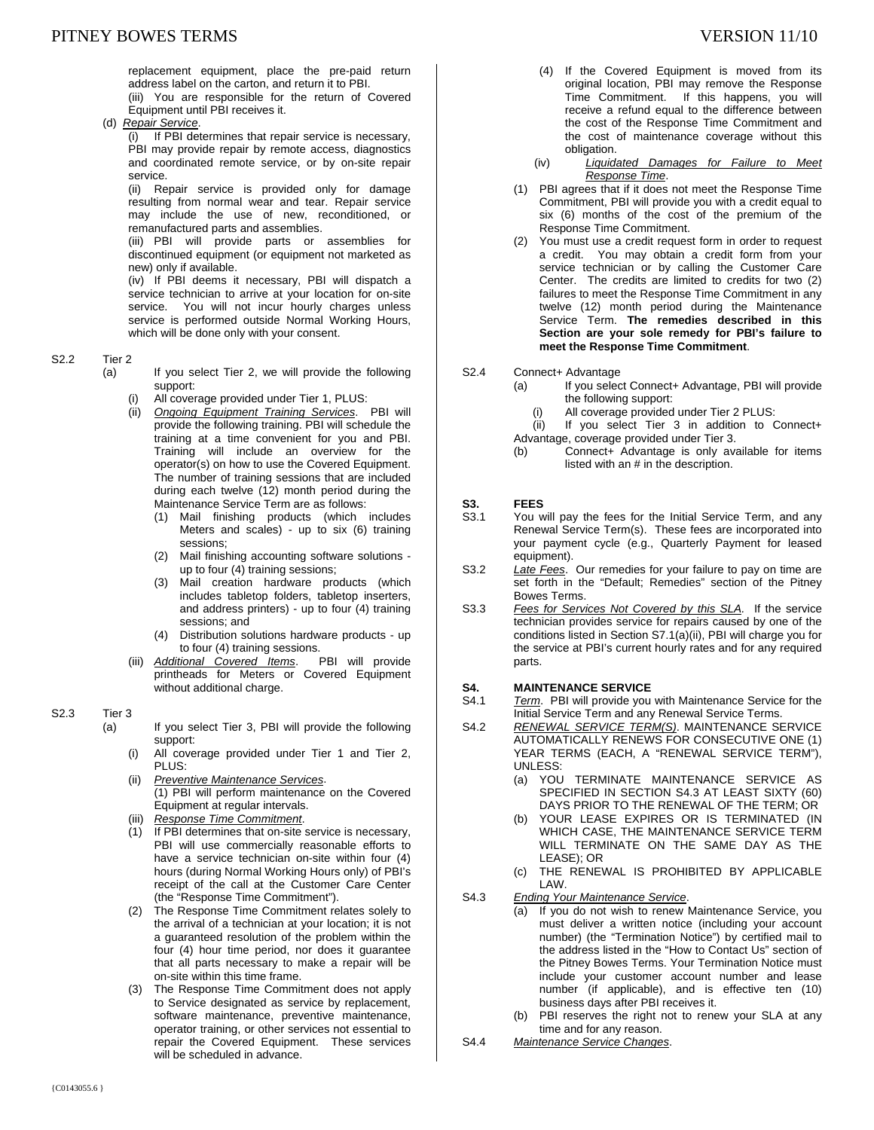replacement equipment, place the pre-paid return address label on the carton, and return it to PBI. (iii) You are responsible for the return of Covered

Equipment until PBI receives it.

(d) *Repair Service*.

(i) If PBI determines that repair service is necessary, PBI may provide repair by remote access, diagnostics and coordinated remote service, or by on-site repair service.

(ii) Repair service is provided only for damage resulting from normal wear and tear. Repair service may include the use of new, reconditioned, or remanufactured parts and assemblies.

(iii) PBI will provide parts or assemblies for discontinued equipment (or equipment not marketed as new) only if available.

(iv) If PBI deems it necessary, PBI will dispatch a service technician to arrive at your location for on-site service. You will not incur hourly charges unless service is performed outside Normal Working Hours, which will be done only with your consent.

#### S2.2 Tier 2

- (a) If you select Tier 2, we will provide the following support:
	- All coverage provided under Tier 1, PLUS:
	- (ii) *Ongoing Equipment Training Services*. PBI will provide the following training. PBI will schedule the training at a time convenient for you and PBI. Training will include an overview for the operator(s) on how to use the Covered Equipment. The number of training sessions that are included during each twelve (12) month period during the Maintenance Service Term are as follows:
		- (1) Mail finishing products (which includes Meters and scales) - up to six (6) training sessions;
		- (2) Mail finishing accounting software solutions up to four (4) training sessions;
		- (3) Mail creation hardware products (which includes tabletop folders, tabletop inserters, and address printers) - up to four (4) training sessions; and
		- (4) Distribution solutions hardware products up to four (4) training sessions.
	- (iii) *Additional Covered Items*. PBI will provide printheads for Meters or Covered Equipment without additional charge.

### S2.3 Tier 3

- (a) If you select Tier 3, PBI will provide the following support:
	- (i) All coverage provided under Tier 1 and Tier 2, PLUS:
	- (ii) *Preventive Maintenance Services*. (1) PBI will perform maintenance on the Covered Equipment at regular intervals.
	- (iii) *Response Time Commitment*.
	- (1) If PBI determines that on-site service is necessary, PBI will use commercially reasonable efforts to have a service technician on-site within four (4) hours (during Normal Working Hours only) of PBI's receipt of the call at the Customer Care Center (the "Response Time Commitment").
	- (2) The Response Time Commitment relates solely to the arrival of a technician at your location; it is not a guaranteed resolution of the problem within the four (4) hour time period, nor does it guarantee that all parts necessary to make a repair will be on-site within this time frame.
	- (3) The Response Time Commitment does not apply to Service designated as service by replacement, software maintenance, preventive maintenance, operator training, or other services not essential to repair the Covered Equipment. These services will be scheduled in advance.
- 
- (4) If the Covered Equipment is moved from its original location, PBI may remove the Response Time Commitment. If this happens, you will receive a refund equal to the difference between the cost of the Response Time Commitment and the cost of maintenance coverage without this obligation.
- (iv) *Liquidated Damages for Failure to Meet Response Time*.
- (1) PBI agrees that if it does not meet the Response Time Commitment, PBI will provide you with a credit equal to six (6) months of the cost of the premium of the Response Time Commitment.
- (2) You must use a credit request form in order to request a credit. You may obtain a credit form from your service technician or by calling the Customer Care Center. The credits are limited to credits for two (2) failures to meet the Response Time Commitment in any twelve (12) month period during the Maintenance Service Term. **The remedies described in this Section are your sole remedy for PBI's failure to meet the Response Time Commitment**.

#### S2.4 Connect+ Advantage

- (a) If you select Connect+ Advantage, PBI will provide the following support:
	- (i) All coverage provided under Tier 2 PLUS:
- (ii) If you select Tier 3 in addition to Connect+ Advantage, coverage provided under Tier 3.
- (b) Connect+ Advantage is only available for items listed with an # in the description.

# **S3. FEES**<br>S3.1 You v

- You will pay the fees for the Initial Service Term, and any Renewal Service Term(s). These fees are incorporated into your payment cycle (e.g., Quarterly Payment for leased equipment).
- S3.2 *Late Fees*. Our remedies for your failure to pay on time are set forth in the "Default; Remedies" section of the Pitney Bowes Terms.
- S3.3 *Fees for Services Not Covered by this SLA.* If the service technician provides service for repairs caused by one of the conditions listed in Section S7.1(a)(ii), PBI will charge you for the service at PBI's current hourly rates and for any required parts.

#### **S4. MAINTENANCE SERVICE**

- S4.1 *Term*. PBI will provide you with Maintenance Service for the Initial Service Term and any Renewal Service Terms.
- S4.2 *RENEWAL SERVICE TERM(S)*. MAINTENANCE SERVICE AUTOMATICALLY RENEWS FOR CONSECUTIVE ONE (1) YEAR TERMS (EACH, A "RENEWAL SERVICE TERM"), UNLESS:
	- (a) YOU TERMINATE MAINTENANCE SERVICE AS SPECIFIED IN SECTION S4.3 AT LEAST SIXTY (60) DAYS PRIOR TO THE RENEWAL OF THE TERM; OR
	- (b) YOUR LEASE EXPIRES OR IS TERMINATED (IN WHICH CASE, THE MAINTENANCE SERVICE TERM WILL TERMINATE ON THE SAME DAY AS THE LEASE); OR
	- (c) THE RENEWAL IS PROHIBITED BY APPLICABLE LAW.
- S4.3 *Ending Your Maintenance Service*.
	- (a) If you do not wish to renew Maintenance Service, you must deliver a written notice (including your account number) (the "Termination Notice") by certified mail to the address listed in the "How to Contact Us" section of the Pitney Bowes Terms. Your Termination Notice must include your customer account number and lease number (if applicable), and is effective ten (10) business days after PBI receives it.
		- (b) PBI reserves the right not to renew your SLA at any time and for any reason.
- S4.4 *Maintenance Service Changes*.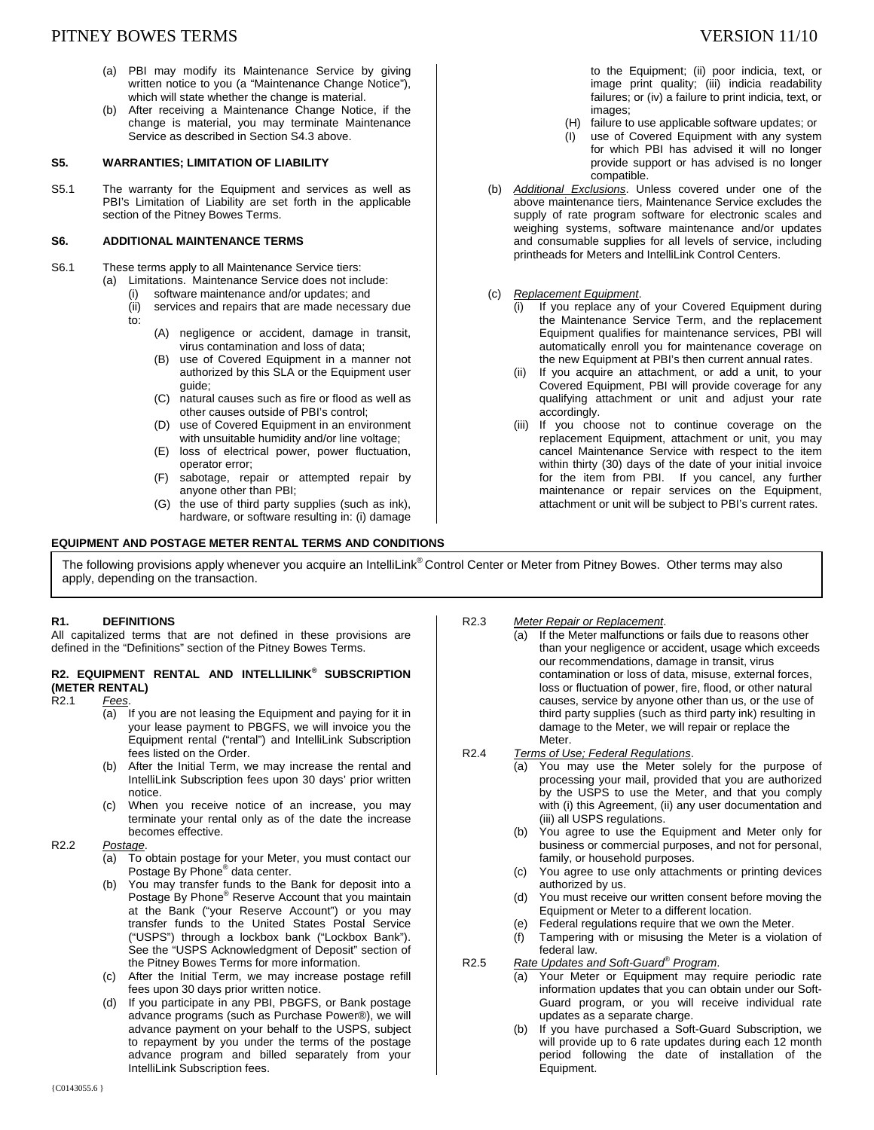- (a) PBI may modify its Maintenance Service by giving written notice to you (a "Maintenance Change Notice"), which will state whether the change is material.
- (b) After receiving a Maintenance Change Notice, if the change is material, you may terminate Maintenance Service as described in Section S4.3 above.

#### **S5. WARRANTIES; LIMITATION OF LIABILITY**

S5.1 The warranty for the Equipment and services as well as PBI's Limitation of Liability are set forth in the applicable section of the Pitney Bowes Terms.

#### **S6. ADDITIONAL MAINTENANCE TERMS**

- S6.1 These terms apply to all Maintenance Service tiers: (a) Limitations. Maintenance Service does not include:
	- (i) software maintenance and/or updates; and
	- (ii) services and repairs that are made necessary due to:
		- (A) negligence or accident, damage in transit, virus contamination and loss of data;
		- (B) use of Covered Equipment in a manner not authorized by this SLA or the Equipment user guide;
		- (C) natural causes such as fire or flood as well as other causes outside of PBI's control;
		- (D) use of Covered Equipment in an environment with unsuitable humidity and/or line voltage;
		- (E) loss of electrical power, power fluctuation, operator error;
		- (F) sabotage, repair or attempted repair by anyone other than PBI;
		- (G) the use of third party supplies (such as ink), hardware, or software resulting in: (i) damage

#### **EQUIPMENT AND POSTAGE METER RENTAL TERMS AND CONDITIONS**

to the Equipment; (ii) poor indicia, text, or image print quality; (iii) indicia readability failures; or (iv) a failure to print indicia, text, or images;

- (H) failure to use applicable software updates; or
- (I) use of Covered Equipment with any system for which PBI has advised it will no longer provide support or has advised is no longer compatible.
- (b) *Additional Exclusions*. Unless covered under one of the above maintenance tiers, Maintenance Service excludes the supply of rate program software for electronic scales and weighing systems, software maintenance and/or updates and consumable supplies for all levels of service, including printheads for Meters and IntelliLink Control Centers.
- (c) *Replacement Equipment*.
	- (i) If you replace any of your Covered Equipment during the Maintenance Service Term, and the replacement Equipment qualifies for maintenance services, PBI will automatically enroll you for maintenance coverage on the new Equipment at PBI's then current annual rates.
	- If you acquire an attachment, or add a unit, to your Covered Equipment, PBI will provide coverage for any qualifying attachment or unit and adjust your rate accordingly.
	- (iii) If you choose not to continue coverage on the replacement Equipment, attachment or unit, you may cancel Maintenance Service with respect to the item within thirty (30) days of the date of your initial invoice for the item from PBI. If you cancel, any further maintenance or repair services on the Equipment, attachment or unit will be subject to PBI's current rates.

The following provisions apply whenever you acquire an IntelliLink® Control Center or Meter from Pitney Bowes. Other terms may also apply, depending on the transaction.

#### **R1. DEFINITIONS**

All capitalized terms that are not defined in these provisions are defined in the "Definitions" section of the Pitney Bowes Terms.

## **R2. EQUIPMENT RENTAL AND INTELLILINK® SUBSCRIPTION (METER RENTAL)**

- R2.1 *Fees*.
	- (a) If you are not leasing the Equipment and paying for it in your lease payment to PBGFS, we will invoice you the Equipment rental ("rental") and IntelliLink Subscription fees listed on the Order.
	- (b) After the Initial Term, we may increase the rental and IntelliLink Subscription fees upon 30 days' prior written notice.
	- (c) When you receive notice of an increase, you may terminate your rental only as of the date the increase becomes effective.

#### R2.2 *Postage*.

- (a) To obtain postage for your Meter, you must contact our Postage By Phone® data center.
- (b) You may transfer funds to the Bank for deposit into a Postage By Phone<sup>®</sup> Reserve Account that you maintain at the Bank ("your Reserve Account") or you may transfer funds to the United States Postal Service ("USPS") through a lockbox bank ("Lockbox Bank"). See the "USPS Acknowledgment of Deposit" section of the Pitney Bowes Terms for more information.
- (c) After the Initial Term, we may increase postage refill fees upon 30 days prior written notice.
- (d) If you participate in any PBI, PBGFS, or Bank postage advance programs (such as Purchase Power®), we will advance payment on your behalf to the USPS, subject to repayment by you under the terms of the postage advance program and billed separately from your IntelliLink Subscription fees.

#### R2.3 *Meter Repair or Replacement*.

- (a) If the Meter malfunctions or fails due to reasons other than your negligence or accident, usage which exceeds our recommendations, damage in transit, virus contamination or loss of data, misuse, external forces, loss or fluctuation of power, fire, flood, or other natural causes, service by anyone other than us, or the use of third party supplies (such as third party ink) resulting in damage to the Meter, we will repair or replace the **Meter**
- R2.4 *Terms of Use; Federal Regulations*.
	- (a) You may use the Meter solely for the purpose of processing your mail, provided that you are authorized by the USPS to use the Meter, and that you comply with (i) this Agreement, (ii) any user documentation and (iii) all USPS regulations.
		- (b) You agree to use the Equipment and Meter only for business or commercial purposes, and not for personal, family, or household purposes.
	- (c) You agree to use only attachments or printing devices authorized by us.
	- (d) You must receive our written consent before moving the Equipment or Meter to a different location.
	- (e) Federal regulations require that we own the Meter.
	- (f) Tampering with or misusing the Meter is a violation of federal law.
- R2.5 *Rate Updates and Soft-Guard® Program*.
	- (a) Your Meter or Equipment may require periodic rate information updates that you can obtain under our Soft-Guard program, or you will receive individual rate updates as a separate charge.
	- If you have purchased a Soft-Guard Subscription, we will provide up to 6 rate updates during each 12 month period following the date of installation of the Equipment.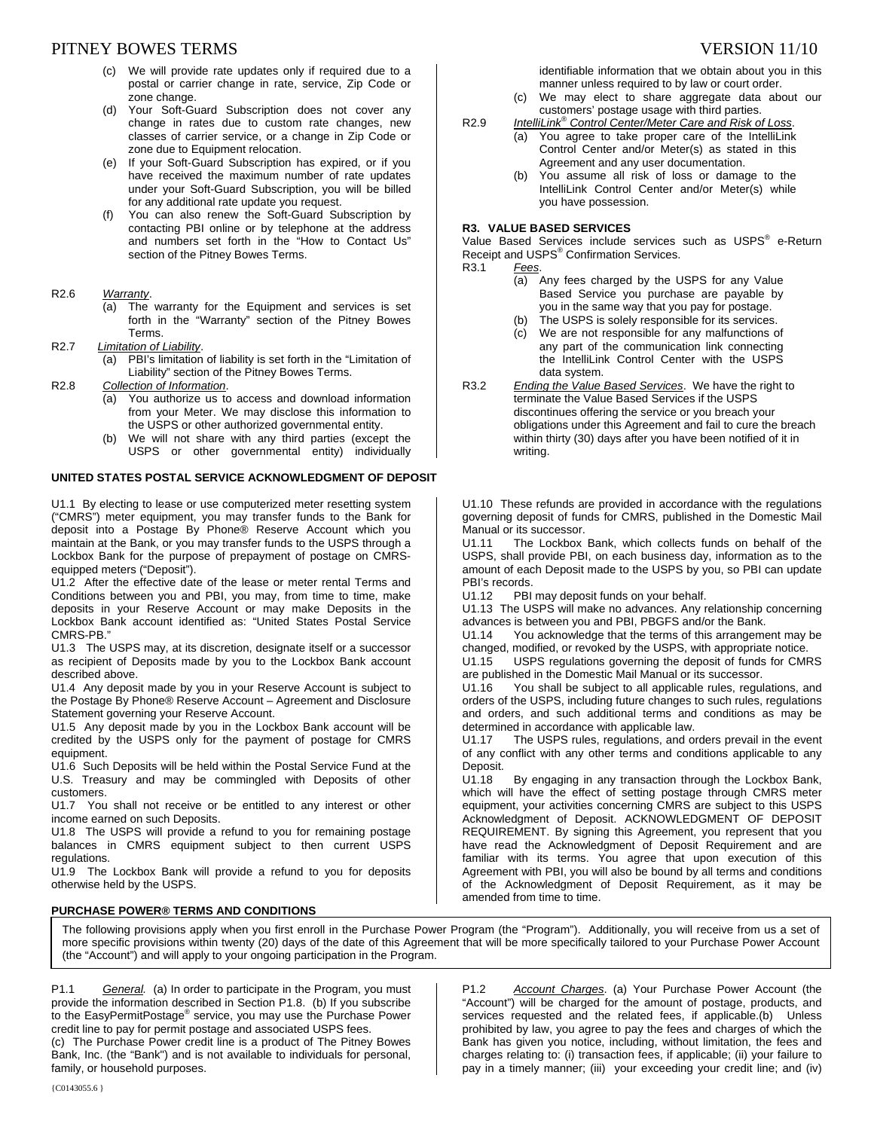## PITNEY BOWES TERMS TERMS TERMS TERMS TERMS TERMS TERMS TERMS TERMS TERMS TERMS TERMS TERMS TERMS TERMS TERMS TE

- (c) We will provide rate updates only if required due to a postal or carrier change in rate, service, Zip Code or zone change.
- (d) Your Soft-Guard Subscription does not cover any change in rates due to custom rate changes, new classes of carrier service, or a change in Zip Code or zone due to Equipment relocation.
- (e) If your Soft-Guard Subscription has expired, or if you have received the maximum number of rate updates under your Soft-Guard Subscription, you will be billed for any additional rate update you request.
- (f) You can also renew the Soft-Guard Subscription by contacting PBI online or by telephone at the address and numbers set forth in the "How to Contact Us" section of the Pitney Bowes Terms.
- R2.6 *Warranty*.
	- (a) The warranty for the Equipment and services is set forth in the "Warranty" section of the Pitney Bowes Terms.
- R2.7 *Limitation of Liability*.
	- (a) PBI's limitation of liability is set forth in the "Limitation of Liability" section of the Pitney Bowes Terms.
- R2.8 *Collection of Information*.
	- (a) You authorize us to access and download information from your Meter. We may disclose this information to the USPS or other authorized governmental entity.
	- (b) We will not share with any third parties (except the USPS or other governmental entity) individually

## **UNITED STATES POSTAL SERVICE ACKNOWLEDGMENT OF DEPOSIT**

U1.1 By electing to lease or use computerized meter resetting system ("CMRS") meter equipment, you may transfer funds to the Bank for deposit into a Postage By Phone® Reserve Account which you maintain at the Bank, or you may transfer funds to the USPS through a Lockbox Bank for the purpose of prepayment of postage on CMRSequipped meters ("Deposit").

U1.2 After the effective date of the lease or meter rental Terms and Conditions between you and PBI, you may, from time to time, make deposits in your Reserve Account or may make Deposits in the Lockbox Bank account identified as: "United States Postal Service CMRS-PB."

U1.3 The USPS may, at its discretion, designate itself or a successor as recipient of Deposits made by you to the Lockbox Bank account described above.

U1.4 Any deposit made by you in your Reserve Account is subject to the Postage By Phone® Reserve Account – Agreement and Disclosure Statement governing your Reserve Account.

U1.5 Any deposit made by you in the Lockbox Bank account will be credited by the USPS only for the payment of postage for CMRS equipment.

U1.6 Such Deposits will be held within the Postal Service Fund at the U.S. Treasury and may be commingled with Deposits of other customers.

U1.7 You shall not receive or be entitled to any interest or other income earned on such Deposits.

U1.8 The USPS will provide a refund to you for remaining postage balances in CMRS equipment subject to then current USPS regulations.

U1.9 The Lockbox Bank will provide a refund to you for deposits otherwise held by the USPS.

## **PURCHASE POWER® TERMS AND CONDITIONS**

identifiable information that we obtain about you in this manner unless required to by law or court order.

- (c) We may elect to share aggregate data about our customers' postage usage with third parties.
- R2.9 *IntelliLink® Control Center/Meter Care and Risk of Loss*.
	- (a) You agree to take proper care of the IntelliLink Control Center and/or Meter(s) as stated in this Agreement and any user documentation.
	- (b) You assume all risk of loss or damage to the IntelliLink Control Center and/or Meter(s) while you have possession.

## **R3. VALUE BASED SERVICES**

Value Based Services include services such as USPS<sup>®</sup> e-Return Receipt and USPS<sup>®</sup> Confirmation Services.

- R3.1 *Fees*.
	- (a) Any fees charged by the USPS for any Value Based Service you purchase are payable by you in the same way that you pay for postage.
	- (b) The USPS is solely responsible for its services. (c) We are not responsible for any malfunctions of any part of the communication link connecting the IntelliLink Control Center with the USPS data system.
- R3.2 *Ending the Value Based Services*. We have the right to terminate the Value Based Services if the USPS discontinues offering the service or you breach your obligations under this Agreement and fail to cure the breach within thirty (30) days after you have been notified of it in writing.

U1.10 These refunds are provided in accordance with the regulations governing deposit of funds for CMRS, published in the Domestic Mail Manual or its successor.<br>U1.11 The Lockbox

The Lockbox Bank, which collects funds on behalf of the USPS, shall provide PBI, on each business day, information as to the amount of each Deposit made to the USPS by you, so PBI can update PBI's records.<br>U1.12 PBI

PBI may deposit funds on your behalf.

U1.13 The USPS will make no advances. Any relationship concerning advances is between you and PBI, PBGFS and/or the Bank.

U1.14 You acknowledge that the terms of this arrangement may be changed, modified, or revoked by the USPS, with appropriate notice.

U1.15 USPS regulations governing the deposit of funds for CMRS are published in the Domestic Mail Manual or its successor.<br>U1.16 You shall be subject to all applicable rules. regul

You shall be subject to all applicable rules, regulations, and orders of the USPS, including future changes to such rules, regulations and orders, and such additional terms and conditions as may be determined in accordance with applicable law.

U1.17 The USPS rules, regulations, and orders prevail in the event of any conflict with any other terms and conditions applicable to any Deposit.

U1.18 By engaging in any transaction through the Lockbox Bank, which will have the effect of setting postage through CMRS meter equipment, your activities concerning CMRS are subject to this USPS Acknowledgment of Deposit. ACKNOWLEDGMENT OF DEPOSIT REQUIREMENT. By signing this Agreement, you represent that you have read the Acknowledgment of Deposit Requirement and are familiar with its terms. You agree that upon execution of this Agreement with PBI, you will also be bound by all terms and conditions of the Acknowledgment of Deposit Requirement, as it may be amended from time to time.

The following provisions apply when you first enroll in the Purchase Power Program (the "Program"). Additionally, you will receive from us a set of more specific provisions within twenty (20) days of the date of this Agreement that will be more specifically tailored to your Purchase Power Account (the "Account") and will apply to your ongoing participation in the Program.

P1.1 *General.* (a) In order to participate in the Program, you must provide the information described in Section P1.8. (b) If you subscribe to the EasyPermitPostage® service, you may use the Purchase Power credit line to pay for permit postage and associated USPS fees.

(c) The Purchase Power credit line is a product of The Pitney Bowes Bank, Inc. (the "Bank") and is not available to individuals for personal, family, or household purposes.

P1.2 *Account Charges*. (a) Your Purchase Power Account (the "Account") will be charged for the amount of postage, products, and services requested and the related fees, if applicable.(b) Unless prohibited by law, you agree to pay the fees and charges of which the Bank has given you notice, including, without limitation, the fees and charges relating to: (i) transaction fees, if applicable; (ii) your failure to pay in a timely manner; (iii) your exceeding your credit line; and (iv)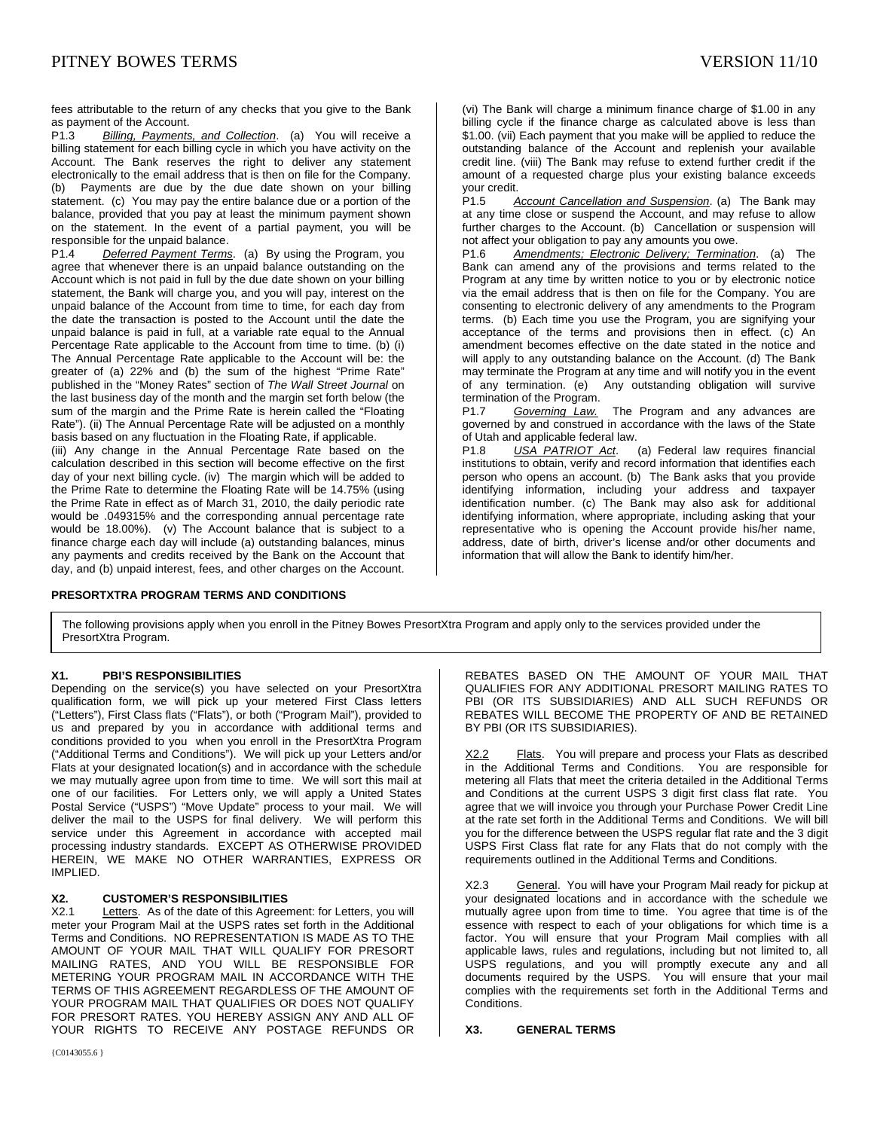fees attributable to the return of any checks that you give to the Bank as payment of the Account.<br>P1.3 Billing, Payments

Billing, Payments, and Collection. (a) You will receive a billing statement for each billing cycle in which you have activity on the Account. The Bank reserves the right to deliver any statement electronically to the email address that is then on file for the Company. (b) Payments are due by the due date shown on your billing statement. (c) You may pay the entire balance due or a portion of the balance, provided that you pay at least the minimum payment shown on the statement. In the event of a partial payment, you will be

responsible for the unpaid balance.<br>P1.4 Deferred Payment Terms **Deferred Payment Terms.** (a) By using the Program, you agree that whenever there is an unpaid balance outstanding on the Account which is not paid in full by the due date shown on your billing statement, the Bank will charge you, and you will pay, interest on the unpaid balance of the Account from time to time, for each day from the date the transaction is posted to the Account until the date the unpaid balance is paid in full, at a variable rate equal to the Annual Percentage Rate applicable to the Account from time to time. (b) (i) The Annual Percentage Rate applicable to the Account will be: the greater of (a) 22% and (b) the sum of the highest "Prime Rate" published in the "Money Rates" section of *The Wall Street Journal* on the last business day of the month and the margin set forth below (the sum of the margin and the Prime Rate is herein called the "Floating Rate"). (ii) The Annual Percentage Rate will be adjusted on a monthly basis based on any fluctuation in the Floating Rate, if applicable.

(iii) Any change in the Annual Percentage Rate based on the calculation described in this section will become effective on the first day of your next billing cycle. (iv) The margin which will be added to the Prime Rate to determine the Floating Rate will be 14.75% (using the Prime Rate in effect as of March 31, 2010, the daily periodic rate would be .049315% and the corresponding annual percentage rate would be 18.00%). (v) The Account balance that is subject to a finance charge each day will include (a) outstanding balances, minus any payments and credits received by the Bank on the Account that day, and (b) unpaid interest, fees, and other charges on the Account.

#### **PRESORTXTRA PROGRAM TERMS AND CONDITIONS**

(vi) The Bank will charge a minimum finance charge of \$1.00 in any billing cycle if the finance charge as calculated above is less than \$1.00. (vii) Each payment that you make will be applied to reduce the outstanding balance of the Account and replenish your available credit line. (viii) The Bank may refuse to extend further credit if the amount of a requested charge plus your existing balance exceeds your credit.<br>P1.5 A

Account Cancellation and Suspension. (a) The Bank may at any time close or suspend the Account, and may refuse to allow further charges to the Account. (b) Cancellation or suspension will not affect your obligation to pay any amounts you owe.

P1.6 *Amendments; Electronic Delivery; Termination*. (a) The Bank can amend any of the provisions and terms related to the Program at any time by written notice to you or by electronic notice via the email address that is then on file for the Company. You are consenting to electronic delivery of any amendments to the Program terms. (b) Each time you use the Program, you are signifying your acceptance of the terms and provisions then in effect. (c) An amendment becomes effective on the date stated in the notice and will apply to any outstanding balance on the Account. (d) The Bank may terminate the Program at any time and will notify you in the event of any termination. (e) Any outstanding obligation will survive

termination of the Program.<br>P1.7 Governing Law. P1.7 *Governing Law.* The Program and any advances are governed by and construed in accordance with the laws of the State of Utah and applicable federal law.<br>P1.8 USA PATRIOT Act.

P1.8 *USA PATRIOT Act*. (a) Federal law requires financial institutions to obtain, verify and record information that identifies each person who opens an account. (b) The Bank asks that you provide identifying information, including your address and taxpayer identification number. (c) The Bank may also ask for additional identifying information, where appropriate, including asking that your representative who is opening the Account provide his/her name, address, date of birth, driver's license and/or other documents and information that will allow the Bank to identify him/her.

The following provisions apply when you enroll in the Pitney Bowes PresortXtra Program and apply only to the services provided under the PresortXtra Program.

#### **X1. PBI'S RESPONSIBILITIES**

Depending on the service(s) you have selected on your PresortXtra qualification form, we will pick up your metered First Class letters ("Letters"), First Class flats ("Flats"), or both ("Program Mail"), provided to us and prepared by you in accordance with additional terms and conditions provided to you when you enroll in the PresortXtra Program ("Additional Terms and Conditions"). We will pick up your Letters and/or Flats at your designated location(s) and in accordance with the schedule we may mutually agree upon from time to time. We will sort this mail at one of our facilities. For Letters only, we will apply a United States Postal Service ("USPS") "Move Update" process to your mail. We will deliver the mail to the USPS for final delivery. We will perform this service under this Agreement in accordance with accepted mail processing industry standards. EXCEPT AS OTHERWISE PROVIDED HEREIN, WE MAKE NO OTHER WARRANTIES, EXPRESS OR IMPLIED.

#### **X2. CUSTOMER'S RESPONSIBILITIES**

X2.1 Letters. As of the date of this Agreement: for Letters, you will meter your Program Mail at the USPS rates set forth in the Additional Terms and Conditions. NO REPRESENTATION IS MADE AS TO THE AMOUNT OF YOUR MAIL THAT WILL QUALIFY FOR PRESORT MAILING RATES, AND YOU WILL BE RESPONSIBLE FOR METERING YOUR PROGRAM MAIL IN ACCORDANCE WITH THE TERMS OF THIS AGREEMENT REGARDLESS OF THE AMOUNT OF YOUR PROGRAM MAIL THAT QUALIFIES OR DOES NOT QUALIFY FOR PRESORT RATES. YOU HEREBY ASSIGN ANY AND ALL OF YOUR RIGHTS TO RECEIVE ANY POSTAGE REFUNDS OR

REBATES BASED ON THE AMOUNT OF YOUR MAIL THAT QUALIFIES FOR ANY ADDITIONAL PRESORT MAILING RATES TO PBI (OR ITS SUBSIDIARIES) AND ALL SUCH REFUNDS OR REBATES WILL BECOME THE PROPERTY OF AND BE RETAINED BY PBI (OR ITS SUBSIDIARIES).

X2.2 Flats. You will prepare and process your Flats as described in the Additional Terms and Conditions. You are responsible for metering all Flats that meet the criteria detailed in the Additional Terms and Conditions at the current USPS 3 digit first class flat rate. You agree that we will invoice you through your Purchase Power Credit Line at the rate set forth in the Additional Terms and Conditions. We will bill you for the difference between the USPS regular flat rate and the 3 digit USPS First Class flat rate for any Flats that do not comply with the requirements outlined in the Additional Terms and Conditions.

X2.3 General. You will have your Program Mail ready for pickup at your designated locations and in accordance with the schedule we mutually agree upon from time to time. You agree that time is of the essence with respect to each of your obligations for which time is a factor. You will ensure that your Program Mail complies with all applicable laws, rules and regulations, including but not limited to, all USPS regulations, and you will promptly execute any and all documents required by the USPS. You will ensure that your mail complies with the requirements set forth in the Additional Terms and Conditions.

#### **X3. GENERAL TERMS**